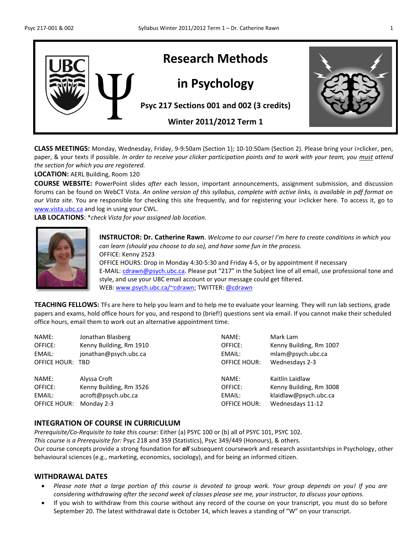

**CLASS MEETINGS:** Monday, Wednesday, Friday, 9-9:50am (Section 1); 10-10:50am (Section 2). Please bring your i>clicker, pen, paper, & your texts if possible. *In order to receive your clicker participation points and to work with your team, you must attend the section for which you are registered.*

**LOCATION:** AERL Building, Room 120

**COURSE WEBSITE:** PowerPoint slides *after* each lesson, important announcements, assignment submission, and discussion forums can be found on WebCT Vista. *An online version of this syllabus, complete with active links, is available in pdf format on our Vista site.* You are responsible for checking this site frequently, and for registering your i>clicker here. To access it, go to [www.vista.ubc.ca](http://www.vista.ubc.ca/) and log in using your CWL.

**LAB LOCATIONS**: \**check Vista for your assigned lab location.*



**INSTRUCTOR: Dr. Catherine Rawn**. *Welcome to our course! I'm here to create conditions in which you can learn (should you choose to do so), and have some fun in the process.*  OFFICE: Kenny 2523 OFFICE HOURS: Drop in Monday 4:30-5:30 and Friday 4-5, or by appointment if necessary E-MAIL[: cdrawn@psych.ubc.ca.](mailto:cdrawn@psych.ubc.ca) Please put "217" in the Subject line of all email, use professional tone and style, and use your UBC email account or your message could get filtered. WEB: [www.psych.ubc.ca/~cdrawn;](http://www.psych.ubc.ca/~cdrawn) TWITTER: [@cdrawn](http://www.psych.ubc.ca/~cdrawn)

**TEACHING FELLOWS:** TFs are here to help you learn and to help me to evaluate your learning. They will run lab sections, grade papers and exams, hold office hours for you, and respond to (brief!) questions sent via email. If you cannot make their scheduled office hours, email them to work out an alternative appointment time.

| NAME:               | Jonathan Blasberg       | NAME:               | Mark Lam                |
|---------------------|-------------------------|---------------------|-------------------------|
| OFFICE:             | Kenny Building, Rm 1910 | OFFICE:             | Kenny Building, Rm 1007 |
| EMAIL:              | jonathan@psych.ubc.ca   | EMAIL:              | mlam@psych.ubc.ca       |
| OFFICE HOUR:        | <b>TBD</b>              | <b>OFFICE HOUR:</b> | Wednesdays 2-3          |
| NAME:               | Alyssa Croft            | NAME:               | Kaitlin Laidlaw         |
| OFFICE:             | Kenny Building, Rm 3526 | OFFICE:             | Kenny Building, Rm 3008 |
| EMAIL:              | acroft@psych.ubc.ca     | EMAIL:              | klaidlaw@psych.ubc.ca   |
| <b>OFFICE HOUR:</b> | Monday 2-3              | <b>OFFICE HOUR:</b> | Wednesdays 11-12        |

### **INTEGRATION OF COURSE IN CURRICULUM**

*Prerequisite/Co-Requisite to take this course:* Either (a) PSYC 100 or (b) all of PSYC 101, PSYC 102. *This course is a Prerequisite for:* Psyc 218 and 359 (Statistics), Psyc 349/449 (Honours), & others. Our course concepts provide a strong foundation for *all* subsequent coursework and research assistantships in Psychology, other behavioural sciences (e.g., marketing, economics, sociology), and for being an informed citizen.

#### **WITHDRAWAL DATES**

- *Please note that a large portion of this course is devoted to group work. Your group depends on you! If you are considering withdrawing after the second week of classes please see me, your instructor, to discuss your options.*
- If you wish to withdraw from this course without any record of the course on your transcript, you must do so before September 20. The latest withdrawal date is October 14, which leaves a standing of "W" on your transcript.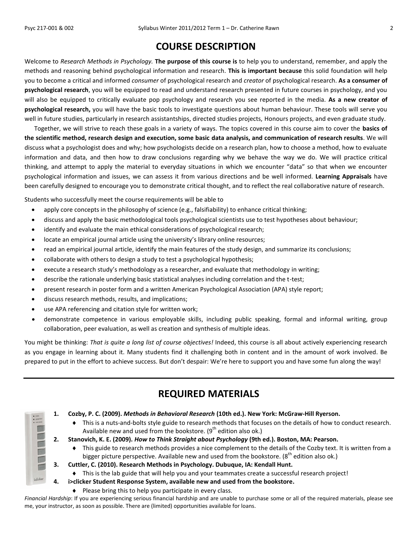Note of the late

iclicker

## **COURSE DESCRIPTION**

Welcome to *Research Methods in Psychology.* **The purpose of this course is** to help you to understand, remember, and apply the methods and reasoning behind psychological information and research. **This is important because** this solid foundation will help you to become a critical and informed *consumer* of psychological research and *creator* of psychological research. **As a consumer of psychological research**, you will be equipped to read and understand research presented in future courses in psychology, and you will also be equipped to critically evaluate pop psychology and research you see reported in the media. **As a new creator of psychological research,** you will have the basic tools to investigate questions about human behaviour. These tools will serve you well in future studies, particularly in research assistantships, directed studies projects, Honours projects, and even graduate study.

Together, we will strive to reach these goals in a variety of ways. The topics covered in this course aim to cover the **basics of the scientific method, research design and execution, some basic data analysis, and communication of research results**. We will discuss what a psychologist does and why; how psychologists decide on a research plan, how to choose a method, how to evaluate information and data, and then how to draw conclusions regarding why we behave the way we do. We will practice critical thinking, and attempt to apply the material to everyday situations in which we encounter "data" so that when we encounter psychological information and issues, we can assess it from various directions and be well informed. **Learning Appraisals** have been carefully designed to encourage you to demonstrate critical thought, and to reflect the real collaborative nature of research.

Students who successfully meet the course requirements will be able to

- apply core concepts in the philosophy of science (e.g., falsifiability) to enhance critical thinking;
- discuss and apply the basic methodological tools psychological scientists use to test hypotheses about behaviour;
- identify and evaluate the main ethical considerations of psychological research;
- locate an empirical journal article using the university's library online resources;
- read an empirical journal article, identify the main features of the study design, and summarize its conclusions;
- collaborate with others to design a study to test a psychological hypothesis;
- execute a research study's methodology as a researcher, and evaluate that methodology in writing;
- describe the rationale underlying basic statistical analyses including correlation and the t-test;
- present research in poster form and a written American Psychological Association (APA) style report;
- discuss research methods, results, and implications;
- use APA referencing and citation style for written work;
- demonstrate competence in various employable skills, including public speaking, formal and informal writing, group collaboration, peer evaluation, as well as creation and synthesis of multiple ideas.

You might be thinking: *That is quite a long list of course objectives!* Indeed, this course is all about actively experiencing research as you engage in learning about it. Many students find it challenging both in content and in the amount of work involved. Be prepared to put in the effort to achieve success. But don't despair: We're here to support you and have some fun along the way!

| <b>REQUIRED MATERIALS</b> |  |
|---------------------------|--|
|---------------------------|--|

|  |  |  |  | 1. Cozby, P. C. (2009). Methods in Behavioral Research (10th ed.). New York: McGraw-Hill Ryerson. |
|--|--|--|--|---------------------------------------------------------------------------------------------------|
|--|--|--|--|---------------------------------------------------------------------------------------------------|

 This is a nuts-and-bolts style guide to research methods that focuses on the details of how to conduct research. Available new and used from the bookstore.  $(9<sup>th</sup>$  edition also ok.)

**2. Stanovich, K. E. (2009).** *How to Think Straight about Psychology* **(9th ed.). Boston, MA: Pearson.**

- This guide to research methods provides a nice complement to the details of the Cozby text. It is written from a bigger picture perspective. Available new and used from the bookstore.  $(8<sup>th</sup>$  edition also ok.)
- **3. Cuttler, C. (2010). Research Methods in Psychology. Dubuque, IA: Kendall Hunt.**
	- This is the lab guide that will help you and your teammates create a successful research project!
- **4. i>clicker Student Response System, available new and used from the bookstore.**
	- $\bullet$  Please bring this to help you participate in every class.

*Financial Hardship*: If you are experiencing serious financial hardship and are unable to purchase some or all of the required materials, please see me, your instructor, as soon as possible. There are (limited) opportunities available for loans.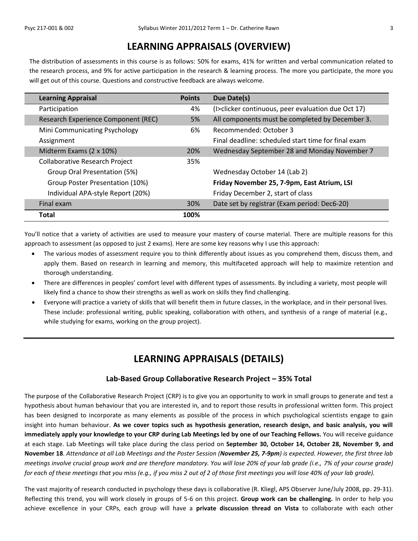## **LEARNING APPRAISALS (OVERVIEW)**

The distribution of assessments in this course is as follows: 50% for exams, 41% for written and verbal communication related to the research process, and 9% for active participation in the research & learning process. The more you participate, the more you will get out of this course. Questions and constructive feedback are always welcome.

| <b>Learning Appraisal</b>             | <b>Points</b> | Due Date(s)                                         |
|---------------------------------------|---------------|-----------------------------------------------------|
| Participation                         | 4%            | (I>clicker continuous, peer evaluation due Oct 17)  |
| Research Experience Component (REC)   | 5%            | All components must be completed by December 3.     |
| Mini Communicating Psychology         | 6%            | Recommended: October 3                              |
| Assignment                            |               | Final deadline: scheduled start time for final exam |
| Midterm Exams (2 x 10%)               | 20%           | Wednesday September 28 and Monday November 7        |
| <b>Collaborative Research Project</b> | 35%           |                                                     |
| Group Oral Presentation (5%)          |               | Wednesday October 14 (Lab 2)                        |
| Group Poster Presentation (10%)       |               | Friday November 25, 7-9pm, East Atrium, LSI         |
| Individual APA-style Report (20%)     |               | Friday December 2, start of class                   |
| Final exam                            | 30%           | Date set by registrar (Exam period: Dec6-20)        |
| <b>Total</b>                          | 100%          |                                                     |

You'll notice that a variety of activities are used to measure your mastery of course material. There are multiple reasons for this approach to assessment (as opposed to just 2 exams). Here are some key reasons why I use this approach:

- The various modes of assessment require you to think differently about issues as you comprehend them, discuss them, and apply them. Based on research in learning and memory, this multifaceted approach will help to maximize retention and thorough understanding.
- There are differences in peoples' comfort level with different types of assessments. By including a variety, most people will likely find a chance to show their strengths as well as work on skills they find challenging.
- Everyone will practice a variety of skills that will benefit them in future classes, in the workplace, and in their personal lives. These include: professional writing, public speaking, collaboration with others, and synthesis of a range of material (e.g., while studying for exams, working on the group project).

## **LEARNING APPRAISALS (DETAILS)**

### **Lab-Based Group Collaborative Research Project – 35% Total**

The purpose of the Collaborative Research Project (CRP) is to give you an opportunity to work in small groups to generate and test a hypothesis about human behaviour that you are interested in*,* and to report those results in professional written form. This project has been designed to incorporate as many elements as possible of the process in which psychological scientists engage to gain insight into human behaviour. **As we cover topics such as hypothesis generation, research design, and basic analysis, you will immediately apply your knowledge to your CRP during Lab Meetings led by one of our Teaching Fellows.** You will receive guidance at each stage. Lab Meetings will take place during the class period on **September 30, October 14, October 28, November 9, and November 18**. *Attendance at all Lab Meetings and the Poster Session (November 25, 7-9pm) is expected. However, the first three lab meetings involve crucial group work and are therefore mandatory. You will lose 20% of your lab grade (i.e., 7% of your course grade) for each of these meetings that you miss (e.g., if you miss 2 out of 2 of those first meetings you will lose 40% of your lab grade).*

The vast majority of research conducted in psychology these days is collaborative (R. Kliegl, APS Observer June/July 2008, pp. 29-31). Reflecting this trend, you will work closely in groups of 5-6 on this project. **Group work can be challenging.** In order to help you achieve excellence in your CRPs, each group will have a **private discussion thread on Vista** to collaborate with each other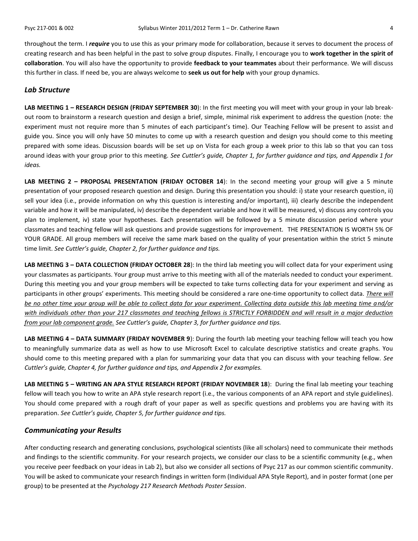throughout the term. I *require* you to use this as your primary mode for collaboration, because it serves to document the process of creating research and has been helpful in the past to solve group disputes. Finally, I encourage you to **work together in the spirit of collaboration**. You will also have the opportunity to provide **feedback to your teammates** about their performance. We will discuss this further in class. If need be, you are always welcome to **seek us out for help** with your group dynamics.

#### *Lab Structure*

**LAB MEETING 1 – RESEARCH DESIGN (FRIDAY SEPTEMBER 30**): In the first meeting you will meet with your group in your lab breakout room to brainstorm a research question and design a brief, simple, minimal risk experiment to address the question (note: the experiment must not require more than 5 minutes of each participant's time). Our Teaching Fellow will be present to assist and guide you. Since you will only have 50 minutes to come up with a research question and design you should come to this meeting prepared with some ideas. Discussion boards will be set up on Vista for each group a week prior to this lab so that you can toss around ideas with your group prior to this meeting. *See Cuttler's guide, Chapter 1, for further guidance and tips, and Appendix 1 for ideas.*

**LAB MEETING 2 – PROPOSAL PRESENTATION (FRIDAY OCTOBER 14**): In the second meeting your group will give a 5 minute presentation of your proposed research question and design. During this presentation you should: i) state your research question, ii) sell your idea (i.e., provide information on why this question is interesting and/or important), iii) clearly describe the independent variable and how it will be manipulated, iv) describe the dependent variable and how it will be measured, v) discuss any controls you plan to implement, iv) state your hypotheses. Each presentation will be followed by a 5 minute discussion period where your classmates and teaching fellow will ask questions and provide suggestions for improvement. THE PRESENTATION IS WORTH 5% OF YOUR GRADE. All group members will receive the same mark based on the quality of your presentation within the strict 5 minute time limit. *See Cuttler's guide, Chapter 2, for further guidance and tips.*

**LAB MEETING 3 – DATA COLLECTION (FRIDAY OCTOBER 28**): In the third lab meeting you will collect data for your experiment using your classmates as participants. Your group must arrive to this meeting with all of the materials needed to conduct your experiment. During this meeting you and your group members will be expected to take turns collecting data for your experiment and serving as participants in other groups' experiments. This meeting should be considered a rare one-time opportunity to collect data. *There will be no other time your group will be able to collect data for your experiment. Collecting data outside this lab meeting time and/or with individuals other than your 217 classmates and teaching fellows is STRICTLY FORBIDDEN and will result in a major deduction from your lab component grade. See Cuttler's guide, Chapter 3, for further guidance and tips.*

**LAB MEETING 4 – DATA SUMMARY (FRIDAY NOVEMBER 9**): During the fourth lab meeting your teaching fellow will teach you how to meaningfully summarize data as well as how to use Microsoft Excel to calculate descriptive statistics and create graphs. You should come to this meeting prepared with a plan for summarizing your data that you can discuss with your teaching fellow. *See Cuttler's guide, Chapter 4, for further guidance and tips, and Appendix 2 for examples.*

**LAB MEETING 5 – WRITING AN APA STYLE RESEARCH REPORT (FRIDAY NOVEMBER 18**): During the final lab meeting your teaching fellow will teach you how to write an APA style research report (i.e., the various components of an APA report and style guidelines). You should come prepared with a rough draft of your paper as well as specific questions and problems you are having with its preparation. *See Cuttler's guide, Chapter 5, for further guidance and tips.*

#### *Communicating your Results*

After conducting research and generating conclusions, psychological scientists (like all scholars) need to communicate their methods and findings to the scientific community. For your research projects, we consider our class to be a scientific community (e.g., when you receive peer feedback on your ideas in Lab 2), but also we consider all sections of Psyc 217 as our common scientific community. You will be asked to communicate your research findings in written form (Individual APA Style Report), and in poster format (one per group) to be presented at the *Psychology 217 Research Methods Poster Session*.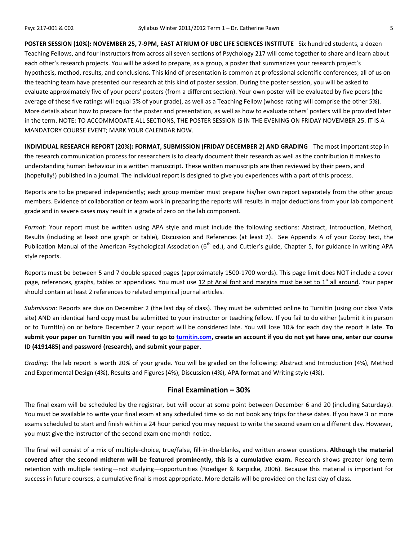**POSTER SESSION (10%): NOVEMBER 25, 7-9PM, EAST ATRIUM OF UBC LIFE SCIENCES INSTITUTE** Six hundred students, a dozen Teaching Fellows, and four Instructors from across all seven sections of Psychology 217 will come together to share and learn about each other's research projects. You will be asked to prepare, as a group, a poster that summarizes your research project's hypothesis, method, results, and conclusions. This kind of presentation is common at professional scientific conferences; all of us on the teaching team have presented our research at this kind of poster session. During the poster session, you will be asked to evaluate approximately five of your peers' posters (from a different section). Your own poster will be evaluated by five peers (the average of these five ratings will equal 5% of your grade), as well as a Teaching Fellow (whose rating will comprise the other 5%). More details about how to prepare for the poster and presentation, as well as how to evaluate others' posters will be provided later in the term. NOTE: TO ACCOMMODATE ALL SECTIONS, THE POSTER SESSION IS IN THE EVENING ON FRIDAY NOVEMBER 25. IT IS A MANDATORY COURSE EVENT; MARK YOUR CALENDAR NOW.

**INDIVIDUAL RESEARCH REPORT (20%): FORMAT, SUBMISSION (FRIDAY DECEMBER 2) AND GRADING** The most important step in the research communication process for researchers is to clearly document their research as well as the contribution it makes to understanding human behaviour in a written manuscript. These written manuscripts are then reviewed by their peers, and (hopefully!) published in a journal. The individual report is designed to give you experiences with a part of this process.

Reports are to be prepared independently; each group member must prepare his/her own report separately from the other group members. Evidence of collaboration or team work in preparing the reports will results in major deductions from your lab component grade and in severe cases may result in a grade of zero on the lab component.

*Format:* Your report must be written using APA style and must include the following sections: Abstract, Introduction, Method, Results (including at least one graph or table), Discussion and References (at least 2). See Appendix A of your Cozby text, the Publication Manual of the American Psychological Association (6<sup>th</sup> ed.), and Cuttler's guide, Chapter 5, for guidance in writing APA style reports.

Reports must be between 5 and 7 double spaced pages (approximately 1500-1700 words). This page limit does NOT include a cover page, references, graphs, tables or appendices. You must use 12 pt Arial font and margins must be set to 1" all around. Your paper should contain at least 2 references to related empirical journal articles.

*Submission:* Reports are due on December 2 (the last day of class). They must be submitted online to TurnItIn (using our class Vista site) AND an identical hard copy must be submitted to your instructor or teaching fellow. If you fail to do either (submit it in person or to TurnItIn) on or before December 2 your report will be considered late. You will lose 10% for each day the report is late. **To submit your paper on TurnItIn you will need to go to [turnitin.com,](http://www.turnitin.com/) create an account if you do not yet have one, enter our course ID (4191485) and password (research), and submit your paper.**

*Grading:* The lab report is worth 20% of your grade. You will be graded on the following: Abstract and Introduction (4%), Method and Experimental Design (4%), Results and Figures (4%), Discussion (4%), APA format and Writing style (4%).

#### **Final Examination – 30%**

The final exam will be scheduled by the registrar, but will occur at some point between December 6 and 20 (including Saturdays). You must be available to write your final exam at any scheduled time so do not book any trips for these dates. If you have 3 or more exams scheduled to start and finish within a 24 hour period you may request to write the second exam on a different day. However, you must give the instructor of the second exam one month notice.

The final will consist of a mix of multiple-choice, true/false, fill-in-the-blanks, and written answer questions. **Although the material covered after the second midterm will be featured prominently, this is a cumulative exam.** Research shows greater long term retention with multiple testing—not studying—opportunities (Roediger & Karpicke, 2006). Because this material is important for success in future courses, a cumulative final is most appropriate. More details will be provided on the last day of class.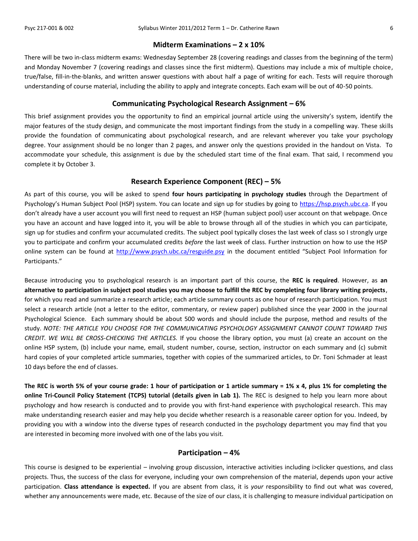#### **Midterm Examinations – 2 x 10%**

There will be two in-class midterm exams: Wednesday September 28 (covering readings and classes from the beginning of the term) and Monday November 7 (covering readings and classes since the first midterm). Questions may include a mix of multiple choice, true/false, fill-in-the-blanks, and written answer questions with about half a page of writing for each. Tests will require thorough understanding of course material, including the ability to apply and integrate concepts. Each exam will be out of 40-50 points.

#### **Communicating Psychological Research Assignment – 6%**

This brief assignment provides you the opportunity to find an empirical journal article using the university's system, identify the major features of the study design, and communicate the most important findings from the study in a compelling way. These skills provide the foundation of communicating about psychological research, and are relevant wherever you take your psychology degree. Your assignment should be no longer than 2 pages, and answer only the questions provided in the handout on Vista. To accommodate your schedule, this assignment is due by the scheduled start time of the final exam. That said, I recommend you complete it by October 3.

## **Research Experience Component (REC) – 5%**

As part of this course, you will be asked to spend **four hours participating in psychology studies** through the Department of Psychology's Human Subject Pool (HSP) system. You can locate and sign up for studies by going to [https://hsp.psych.ubc.ca.](https://hsp.psych.ubc.ca/) If you don't already have a user account you will first need to request an HSP (human subject pool) user account on that webpage. Once you have an account and have logged into it, you will be able to browse through all of the studies in which you can participate, sign up for studies and confirm your accumulated credits. The subject pool typically closes the last week of class so I strongly urge you to participate and confirm your accumulated credits *before* the last week of class. Further instruction on how to use the HSP online system can be found at<http://www.psych.ubc.ca/resguide.psy> in the document entitled "Subject Pool Information for Participants."

Because introducing you to psychological research is an important part of this course, the **REC is required**. However, as **an alternative to participation in subject pool studies you may choose to fulfill the REC by completing four library writing projects**, for which you read and summarize a research article; each article summary counts as one hour of research participation. You must select a research article (not a letter to the editor, commentary, or review paper) published since the year 2000 in the journal Psychological Science. Each summary should be about 500 words and should include the purpose, method and results of the study. *NOTE: THE ARTICLE YOU CHOOSE FOR THE COMMUNICATING PSYCHOLOGY ASSIGNMENT CANNOT COUNT TOWARD THIS CREDIT. WE WILL BE CROSS-CHECKING THE ARTICLES.* If you choose the library option, you must (a) create an account on the online HSP system, (b) include your name, email, student number, course, section, instructor on each summary and (c) submit hard copies of your completed article summaries, together with copies of the summarized articles, to Dr. Toni Schmader at least 10 days before the end of classes.

**The REC is worth 5% of your course grade: 1 hour of participation or 1 article summary = 1% x 4, plus 1% for completing the online Tri-Council Policy Statement (TCPS) tutorial (details given in Lab 1).** The REC is designed to help you learn more about psychology and how research is conducted and to provide you with first-hand experience with psychological research. This may make understanding research easier and may help you decide whether research is a reasonable career option for you. Indeed, by providing you with a window into the diverse types of research conducted in the psychology department you may find that you are interested in becoming more involved with one of the labs you visit.

#### **Participation – 4%**

This course is designed to be experiential – involving group discussion, interactive activities including i>clicker questions, and class projects. Thus, the success of the class for everyone, including your own comprehension of the material, depends upon your active participation. **Class attendance is expected.** If you are absent from class, it is *your* responsibility to find out what was covered, whether any announcements were made, etc. Because of the size of our class, it is challenging to measure individual participation on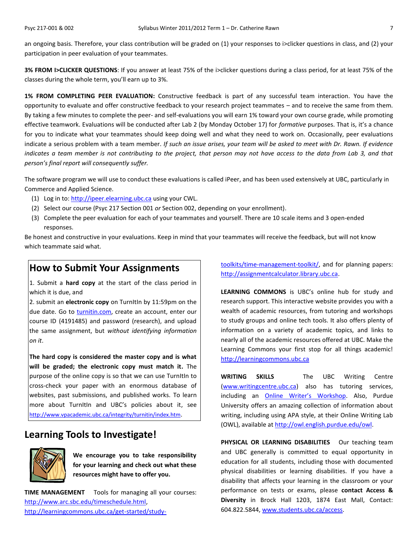an ongoing basis. Therefore, your class contribution will be graded on (1) your responses to i>clicker questions in class, and (2) your participation in peer evaluation of your teammates.

**3% FROM I>CLICKER QUESTIONS**: If you answer at least 75% of the i>clicker questions during a class period, for at least 75% of the classes during the whole term, you'll earn up to 3%.

**1% FROM COMPLETING PEER EVALUATION:** Constructive feedback is part of any successful team interaction. You have the opportunity to evaluate and offer constructive feedback to your research project teammates – and to receive the same from them. By taking a few minutes to complete the peer- and self-evaluations you will earn 1% toward your own course grade, while promoting effective teamwork. Evaluations will be conducted after Lab 2 (by Monday October 17) for *formative* purposes. That is, it's a chance for you to indicate what your teammates should keep doing well and what they need to work on. Occasionally, peer evaluations indicate a serious problem with a team member. *If such an issue arises, your team will be asked to meet with Dr. Rawn. If evidence indicates a team member is not contributing to the project, that person may not have access to the data from Lab 3, and that person's final report will consequently suffer.*

The software program we will use to conduct these evaluations is called iPeer, and has been used extensively at UBC, particularly in Commerce and Applied Science.

- (1) Log in to: [http://ipeer.elearning.ubc.ca](http://ipeer.elearning.ubc.ca/) using your CWL.
- (2) Select our course (Psyc 217 Section 001 *or* Section 002, depending on your enrollment).
- (3) Complete the peer evaluation for each of your teammates and yourself. There are 10 scale items and 3 open-ended responses.

Be honest and constructive in your evaluations. Keep in mind that your teammates will receive the feedback, but will not know which teammate said what.

## **How to Submit Your Assignments**

1. Submit a **hard copy** at the start of the class period in which it is due, and

2. submit an **electronic copy** on TurnItIn by 11:59pm on the due date. Go to [turnitin.com,](http://turnitin.com/) create an account, enter our course ID (4191485) and password (research), and upload the same assignment, but *without identifying information on it*.

**The hard copy is considered the master copy and is what will be graded; the electronic copy must match it.** The purpose of the online copy is so that we can use TurnItIn to cross-check your paper with an enormous database of websites, past submissions, and published works. To learn more about TurnItIn and UBC's policies about it, see <http://www.vpacademic.ubc.ca/integrity/turnitin/index.htm>.

## **Learning Tools to Investigate!**



**We encourage you to take responsibility for your learning and check out what these resources might have to offer you.**

**TIME MANAGEMENT** Tools for managing all your courses: [http://www.arc.sbc.edu/timeschedule.html,](http://www.arc.sbc.edu/timeschedule.html) [http://learningcommons.ubc.ca/get-started/study-](http://learningcommons.ubc.ca/get-started/study-toolkits/time-management-toolkit/) [toolkits/time-management-toolkit/,](http://learningcommons.ubc.ca/get-started/study-toolkits/time-management-toolkit/) and for planning papers: [http://assignmentcalculator.library.ubc.ca.](http://assignmentcalculator.library.ubc.ca/)

**LEARNING COMMONS** is UBC's online hub for study and research support. This interactive website provides you with a wealth of academic resources, from tutoring and workshops to study groups and online tech tools. It also offers plenty of information on a variety of academic topics, and links to nearly all of the academic resources offered at UBC. Make the Learning Commons your first stop for all things academic! [http://learningcommons.ubc.ca](http://learningcommons.ubc.ca/)

**WRITING SKILLS** The UBC Writing Centre [\(www.writingcentre.ubc.ca\)](http://www.writingcentre.ubc.ca/) also has tutoring services, including an [Online Writer's Workshop](http://www.writingcentre.ubc.ca/workshop/index.html). Also, Purdue University offers an amazing collection of information about writing, including using APA style, at their Online Writing Lab (OWL), available at [http://owl.english.purdue.edu/owl.](http://owl.english.purdue.edu/owl/)

PHYSICAL OR LEARNING DISABILITIES Our teaching team and UBC generally is committed to equal opportunity in education for all students, including those with documented physical disabilities or learning disabilities. If you have a disability that affects your learning in the classroom or your performance on tests or exams, please **contact Access & Diversity** in Brock Hall 1203, 1874 East Mall, Contact: 604.822.5844, [www.students.ubc.ca/access.](http://www.students.ubc.ca/access)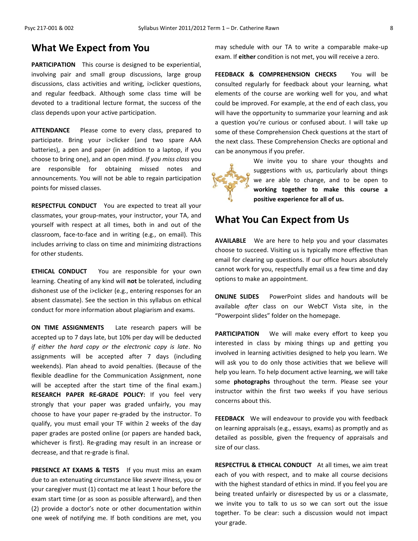## **What We Expect from You**

**PARTICIPATION** This course is designed to be experiential, involving pair and small group discussions, large group discussions, class activities and writing, i>clicker questions, and regular feedback. Although some class time will be devoted to a traditional lecture format, the success of the class depends upon your active participation.

**ATTENDANCE** Please come to every class, prepared to participate. Bring your i>clicker (and two spare AAA batteries), a pen and paper (in addition to a laptop, if you choose to bring one), and an open mind. *If you miss class* you are responsible for obtaining missed notes and announcements. You will not be able to regain participation points for missed classes.

**RESPECTFUL CONDUCT** You are expected to treat all your classmates, your group-mates, your instructor, your TA, and yourself with respect at all times, both in and out of the classroom, face-to-face and in writing (e.g., on email). This includes arriving to class on time and minimizing distractions for other students.

**ETHICAL CONDUCT** You are responsible for your own learning. Cheating of any kind will **not** be tolerated, including dishonest use of the i>clicker (e.g., entering responses for an absent classmate). See the section in this syllabus on ethical conduct for more information about plagiarism and exams.

**ON TIME ASSIGNMENTS** Late research papers will be accepted up to 7 days late, but 10% per day will be deducted *if either the hard copy or the electronic copy is late*. No assignments will be accepted after 7 days (including weekends). Plan ahead to avoid penalties. (Because of the flexible deadline for the Communication Assignment, none will be accepted after the start time of the final exam.) **RESEARCH PAPER RE-GRADE POLICY:** If you feel very strongly that your paper was graded unfairly, you may choose to have your paper re-graded by the instructor. To qualify, you must email your TF within 2 weeks of the day paper grades are posted online (or papers are handed back, whichever is first). Re-grading may result in an increase or decrease, and that re-grade is final.

**PRESENCE AT EXAMS & TESTS** If you must miss an exam due to an extenuating circumstance like *severe* illness, you or your caregiver must (1) contact me at least 1 hour before the exam start time (or as soon as possible afterward), and then (2) provide a doctor's note or other documentation within one week of notifying me. If both conditions are met, you

may schedule with our TA to write a comparable make-up exam. If **either** condition is not met, you will receive a zero.

**FEEDBACK & COMPREHENSION CHECKS** You will be consulted regularly for feedback about your learning, what elements of the course are working well for you, and what could be improved. For example, at the end of each class, you will have the opportunity to summarize your learning and ask a question you're curious or confused about. I will take up some of these Comprehension Check questions at the start of the next class. These Comprehension Checks are optional and can be anonymous if you prefer.

We invite you to share your thoughts and suggestions with us, particularly about things we are able to change, and to be open to **working together to make this course a positive experience for all of us.**

## **What You Can Expect from Us**

**AVAILABLE** We are here to help you and your classmates choose to succeed. Visiting us is typically more effective than email for clearing up questions. If our office hours absolutely cannot work for you, respectfully email us a few time and day options to make an appointment.

**ONLINE SLIDES** PowerPoint slides and handouts will be available *after* class on our WebCT Vista site, in the "Powerpoint slides" folder on the homepage.

**PARTICIPATION** We will make every effort to keep you interested in class by mixing things up and getting you involved in learning activities designed to help you learn. We will ask you to do only those activities that we believe will help you learn. To help document active learning, we will take some **photographs** throughout the term. Please see your instructor within the first two weeks if you have serious concerns about this.

**FEEDBACK** We will endeavour to provide you with feedback on learning appraisals (e.g., essays, exams) as promptly and as detailed as possible, given the frequency of appraisals and size of our class.

**RESPECTFUL & ETHICAL CONDUCT** At all times, we aim treat each of you with respect, and to make all course decisions with the highest standard of ethics in mind. If you feel you are being treated unfairly or disrespected by us or a classmate, we invite you to talk to us so we can sort out the issue together. To be clear: such a discussion would not impact your grade.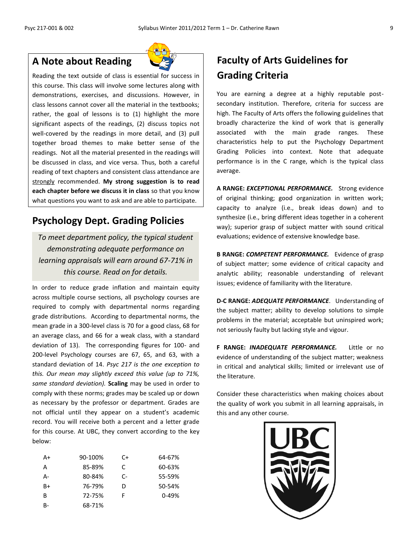## **A Note about Reading**

Reading the text outside of class is essential for success in this course. This class will involve some lectures along with demonstrations, exercises, and discussions. However, in class lessons cannot cover all the material in the textbooks; rather, the goal of lessons is to (1) highlight the more significant aspects of the readings, (2) discuss topics not well-covered by the readings in more detail, and (3) pull together broad themes to make better sense of the readings. Not all the material presented in the readings will be discussed in class, and vice versa. Thus, both a careful reading of text chapters and consistent class attendance are strongly recommended. **My strong suggestion is to read each chapter before we discuss it in class** so that you know what questions you want to ask and are able to participate.

## **Psychology Dept. Grading Policies**

*To meet department policy, the typical student demonstrating adequate performance on learning appraisals will earn around 67-71% in this course. Read on for details.*

In order to reduce grade inflation and maintain equity across multiple course sections, all psychology courses are required to comply with departmental norms regarding grade distributions. According to departmental norms, the mean grade in a 300-level class is 70 for a good class, 68 for an average class, and 66 for a weak class, with a standard deviation of 13). The corresponding figures for 100- and 200-level Psychology courses are 67, 65, and 63, with a standard deviation of 14. *Psyc 217 is the one exception to this. Our mean may slightly exceed this value (up to 71%, same standard deviation).* **Scaling** may be used in order to comply with these norms; grades may be scaled up or down as necessary by the professor or department. Grades are not official until they appear on a student's academic record. You will receive both a percent and a letter grade for this course. At UBC, they convert according to the key below:

| A+        | 90-100% | C+ | 64-67% |
|-----------|---------|----|--------|
| A         | 85-89%  | C. | 60-63% |
| А-        | 80-84%  | C- | 55-59% |
| B+        | 76-79%  | D  | 50-54% |
| B         | 72-75%  | F  | 0-49%  |
| <b>B-</b> | 68-71%  |    |        |

# **Faculty of Arts Guidelines for Grading Criteria**

You are earning a degree at a highly reputable postsecondary institution. Therefore, criteria for success are high. The Faculty of Arts offers the following guidelines that broadly characterize the kind of work that is generally associated with the main grade ranges. These characteristics help to put the Psychology Department Grading Policies into context. Note that adequate performance is in the C range, which is the typical class average.

**A RANGE:** *EXCEPTIONAL PERFORMANCE.* Strong evidence of original thinking; good organization in written work; capacity to analyze (i.e., break ideas down) and to synthesize (i.e., bring different ideas together in a coherent way); superior grasp of subject matter with sound critical evaluations; evidence of extensive knowledge base.

**B RANGE:** *COMPETENT PERFORMANCE.* Evidence of grasp of subject matter; some evidence of critical capacity and analytic ability; reasonable understanding of relevant issues; evidence of familiarity with the literature.

**D-C RANGE:** *ADEQUATE PERFORMANCE*. Understanding of the subject matter; ability to develop solutions to simple problems in the material; acceptable but uninspired work; not seriously faulty but lacking style and vigour.

**F RANGE:** *INADEQUATE PERFORMANCE.* Little or no evidence of understanding of the subject matter; weakness in critical and analytical skills; limited or irrelevant use of the literature.

Consider these characteristics when making choices about the quality of work you submit in all learning appraisals, in this and any other course.

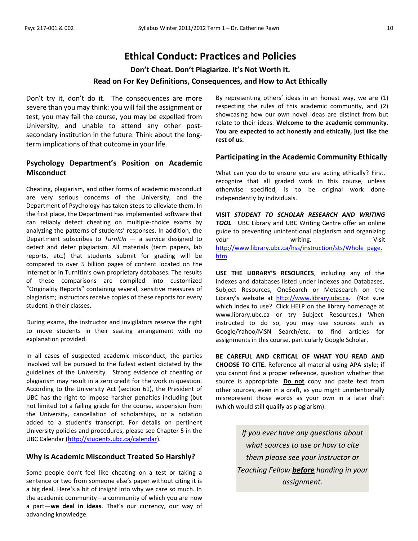## **Ethical Conduct: Practices and Policies**

**Don't Cheat. Don't Plagiarize. It's Not Worth It.** 

## **Read on For Key Definitions, Consequences, and How to Act Ethically**

Don't try it, don't do it. The consequences are more severe than you may think: you will fail the assignment or test, you may fail the course, you may be expelled from University, and unable to attend any other postsecondary institution in the future. Think about the longterm implications of that outcome in your life.

## **Psychology Department's Position on Academic Misconduct**

Cheating, plagiarism, and other forms of academic misconduct are very serious concerns of the University, and the Department of Psychology has taken steps to alleviate them. In the first place, the Department has implemented software that can reliably detect cheating on multiple-choice exams by analyzing the patterns of students' responses. In addition, the Department subscribes to *TurnItIn* — a service designed to detect and deter plagiarism. All materials (term papers, lab reports, etc.) that students submit for grading will be compared to over 5 billion pages of content located on the Internet or in TurnItIn's own proprietary databases. The results of these comparisons are compiled into customized "Originality Reports" containing several, sensitive measures of plagiarism; instructors receive copies of these reports for every student in their classes.

During exams, the instructor and invigilators reserve the right to move students in their seating arrangement with no explanation provided.

In all cases of suspected academic misconduct, the parties involved will be pursued to the fullest extent dictated by the guidelines of the University. Strong evidence of cheating or plagiarism may result in a zero credit for the work in question. According to the University Act (section 61), the President of UBC has the right to impose harsher penalties including (but not limited to) a failing grade for the course, suspension from the University, cancellation of scholarships, or a notation added to a student's transcript. For details on pertinent University policies and procedures, please see Chapter 5 in the UBC Calendar [\(http://students.ubc.ca/calendar\)](http://students.ubc.ca/calendar).

### **Why is Academic Misconduct Treated So Harshly?**

Some people don't feel like cheating on a test or taking a sentence or two from someone else's paper without citing it is a big deal. Here's a bit of insight into why we care so much. In the academic community—a community of which you are now a part—**we deal in ideas**. That's our currency, our way of advancing knowledge.

By representing others' ideas in an honest way, we are (1) respecting the rules of this academic community, and (2) showcasing how our own novel ideas are distinct from but relate to their ideas. **Welcome to the academic community. You are expected to act honestly and ethically, just like the rest of us.**

#### **Participating in the Academic Community Ethically**

What can you do to ensure you are acting ethically? First, recognize that all graded work in this course, unless otherwise specified, is to be original work done independently by individuals.

**VISIT** *STUDENT TO SCHOLAR RESEARCH AND WRITING*  **TOOL** UBC Library and UBC Writing Centre offer an online guide to preventing unintentional plagiarism and organizing your vour writing. Visit [http://www.library.ubc.ca/hss/instruction/sts/Whole\\_page.](http://www.library.ubc.ca/hss/instruction/sts/Whole_page.htm) [htm](http://www.library.ubc.ca/hss/instruction/sts/Whole_page.htm)

**USE THE LIBRARY'S RESOURCES**, including any of the indexes and databases listed under Indexes and Databases, Subject Resources, OneSearch or Metasearch on the Library's website at [http://www.library.ubc.ca.](http://www.library.ubc.ca/) (Not sure which index to use? Click HELP on the library homepage at www.library.ubc.ca or try Subject Resources.) When instructed to do so, you may use sources such as Google/Yahoo/MSN Search/etc. to find articles for assignments in this course, particularly Google Scholar.

**BE CAREFUL AND CRITICAL OF WHAT YOU READ AND CHOOSE TO CITE.** Reference all material using APA style; if you cannot find a proper reference, question whether that source is appropriate. **Do not** copy and paste text from other sources, even in a draft, as you might unintentionally misrepresent those words as your own in a later draft (which would still qualify as plagiarism).

> *If you ever have any questions about what sources to use or how to cite them please see your instructor or Teaching Fellow before handing in your assignment.*